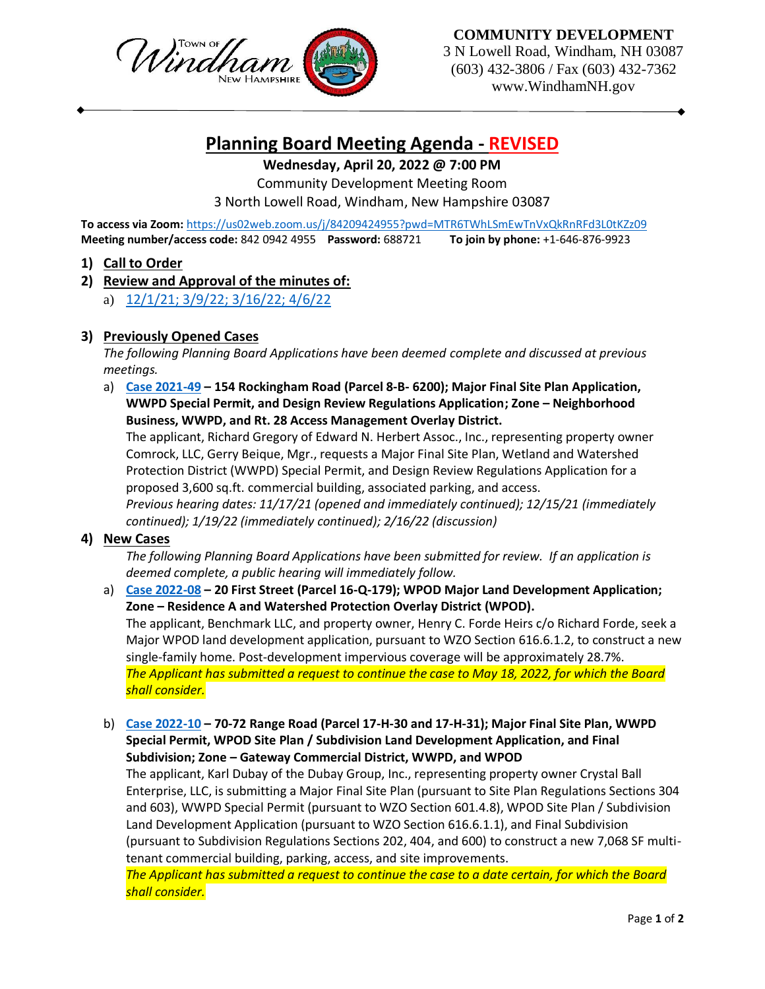

**COMMUNITY DEVELOPMENT**

3 N Lowell Road, Windham, NH 03087 (603) 432-3806 / Fax (603) 432-7362 www.WindhamNH.gov

# **Planning Board Meeting Agenda - REVISED**

### **Wednesday, April 20, 2022 @ 7:00 PM**

Community Development Meeting Room

3 North Lowell Road, Windham, New Hampshire 03087

**To access via Zoom:** <https://us02web.zoom.us/j/84209424955?pwd=MTR6TWhLSmEwTnVxQkRnRFd3L0tKZz09> **Meeting number/access code:** 842 0942 4955 **Password:** 688721 **To join by phone:** +1-646-876-9923

- **1) Call to Order**
- **2) Review and Approval of the minutes of:**
	- a) [12/1/21; 3/9/22; 3/16/22; 4/6/22](https://www.windhamnh.gov/DocumentCenter/Index/945)

#### **3) Previously Opened Cases**

*The following Planning Board Applications have been deemed complete and discussed at previous meetings.* 

a) **[Case 2021-49](https://www.windhamnh.gov/DocumentCenter/Index/777) – 154 Rockingham Road (Parcel 8-B- 6200); Major Final Site Plan Application, WWPD Special Permit, and Design Review Regulations Application; Zone – Neighborhood Business, WWPD, and Rt. 28 Access Management Overlay District.** 

The applicant, Richard Gregory of Edward N. Herbert Assoc., Inc., representing property owner Comrock, LLC, Gerry Beique, Mgr., requests a Major Final Site Plan, Wetland and Watershed Protection District (WWPD) Special Permit, and Design Review Regulations Application for a proposed 3,600 sq.ft. commercial building, associated parking, and access.

*Previous hearing dates: 11/17/21 (opened and immediately continued); 12/15/21 (immediately continued); 1/19/22 (immediately continued); 2/16/22 (discussion)*

#### **4) New Cases**

*The following Planning Board Applications have been submitted for review. If an application is deemed complete, a public hearing will immediately follow.*

a) **[Case 2022-08](https://www.windhamnh.gov/DocumentCenter/Index/926) – 20 First Street (Parcel 16-Q-179); WPOD Major Land Development Application; Zone – Residence A and Watershed Protection Overlay District (WPOD).**  The applicant, Benchmark LLC, and property owner, Henry C. Forde Heirs c/o Richard Forde, seek a Major WPOD land development application, pursuant to WZO Section 616.6.1.2, to construct a new single-family home. Post-development impervious coverage will be approximately 28.7%. *The Applicant has submitted a request to continue the case to May 18, 2022, for which the Board shall consider.*

b) **[Case 2022-10](https://www.windhamnh.gov/DocumentCenter/Index/934) – 70-72 Range Road (Parcel 17-H-30 and 17-H-31); Major Final Site Plan, WWPD Special Permit, WPOD Site Plan / Subdivision Land Development Application, and Final Subdivision; Zone – Gateway Commercial District, WWPD, and WPOD**

The applicant, Karl Dubay of the Dubay Group, Inc., representing property owner Crystal Ball Enterprise, LLC, is submitting a Major Final Site Plan (pursuant to Site Plan Regulations Sections 304 and 603), WWPD Special Permit (pursuant to WZO Section 601.4.8), WPOD Site Plan / Subdivision Land Development Application (pursuant to WZO Section 616.6.1.1), and Final Subdivision (pursuant to Subdivision Regulations Sections 202, 404, and 600) to construct a new 7,068 SF multitenant commercial building, parking, access, and site improvements.

*The Applicant has submitted a request to continue the case to a date certain, for which the Board shall consider.*